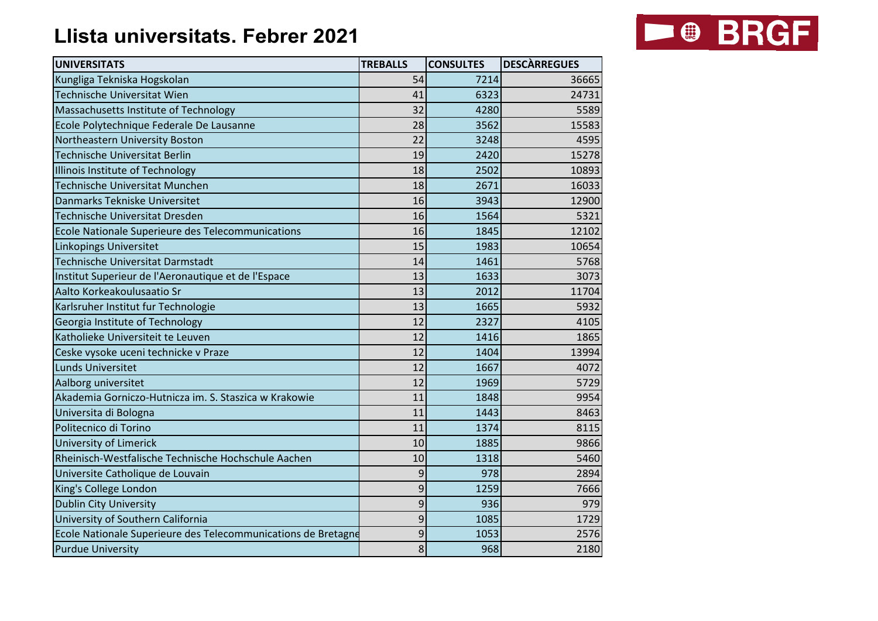## **Llista universitats. Febrer 2021**



| <b>UNIVERSITATS</b>                                           | <b>TREBALLS</b> | <b>CONSULTES</b> | <b>DESCÀRREGUES</b> |
|---------------------------------------------------------------|-----------------|------------------|---------------------|
| Kungliga Tekniska Hogskolan                                   | 54              | 7214             | 36665               |
| Technische Universitat Wien                                   | 41              | 6323             | 24731               |
| Massachusetts Institute of Technology                         | 32              | 4280             | 5589                |
| Ecole Polytechnique Federale De Lausanne                      | 28              | 3562             | 15583               |
| Northeastern University Boston                                | 22              | 3248             | 4595                |
| Technische Universitat Berlin                                 | 19              | 2420             | 15278               |
| Illinois Institute of Technology                              | 18              | 2502             | 10893               |
| Technische Universitat Munchen                                | 18              | 2671             | 16033               |
| Danmarks Tekniske Universitet                                 | 16              | 3943             | 12900               |
| Technische Universitat Dresden                                | 16              | 1564             | 5321                |
| Ecole Nationale Superieure des Telecommunications             | 16              | 1845             | 12102               |
| Linkopings Universitet                                        | 15              | 1983             | 10654               |
| Technische Universitat Darmstadt                              | 14              | 1461             | 5768                |
| Institut Superieur de l'Aeronautique et de l'Espace           | 13              | 1633             | 3073                |
| Aalto Korkeakoulusaatio Sr                                    | 13              | 2012             | 11704               |
| Karlsruher Institut fur Technologie                           | 13              | 1665             | 5932                |
| Georgia Institute of Technology                               | 12              | 2327             | 4105                |
| Katholieke Universiteit te Leuven                             | 12              | 1416             | 1865                |
| Ceske vysoke uceni technicke v Praze                          | 12              | 1404             | 13994               |
| Lunds Universitet                                             | 12              | 1667             | 4072                |
| Aalborg universitet                                           | 12              | 1969             | 5729                |
| Akademia Gorniczo-Hutnicza im. S. Staszica w Krakowie         | 11              | 1848             | 9954                |
| Universita di Bologna                                         | 11              | 1443             | 8463                |
| Politecnico di Torino                                         | 11              | 1374             | 8115                |
| University of Limerick                                        | 10              | 1885             | 9866                |
| Rheinisch-Westfalische Technische Hochschule Aachen           | 10              | 1318             | 5460                |
| Universite Catholique de Louvain                              | 9               | 978              | 2894                |
| King's College London                                         | 9               | 1259             | 7666                |
| <b>Dublin City University</b>                                 | 9               | 936              | 979                 |
| University of Southern California                             | 9               | 1085             | 1729                |
| Ecole Nationale Superieure des Telecommunications de Bretagne | 9               | 1053             | 2576                |
| <b>Purdue University</b>                                      | 8               | 968              | 2180                |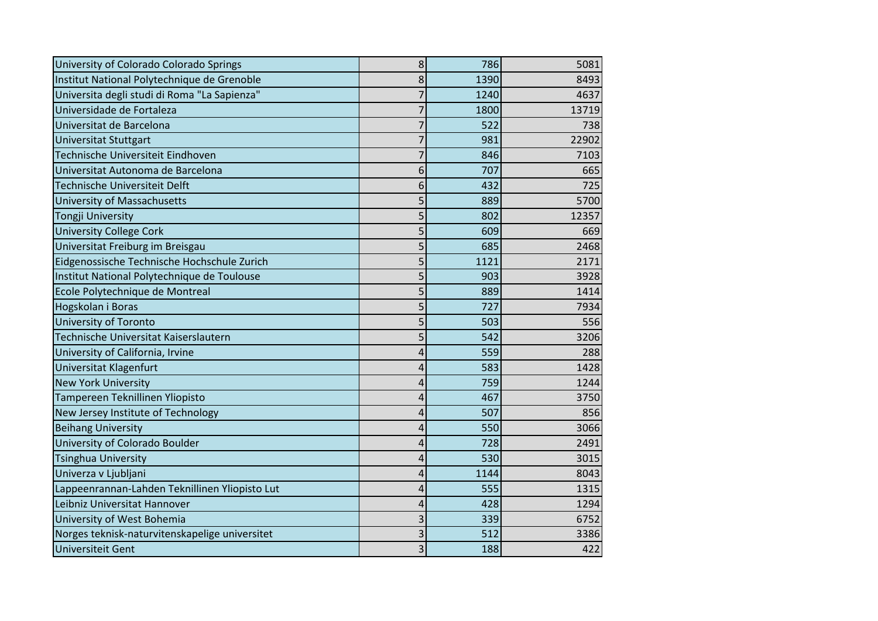| University of Colorado Colorado Springs        | 8              | 786  | 5081  |
|------------------------------------------------|----------------|------|-------|
| Institut National Polytechnique de Grenoble    | 8              | 1390 | 8493  |
| Universita degli studi di Roma "La Sapienza"   | 7              | 1240 | 4637  |
| Universidade de Fortaleza                      | $\overline{7}$ | 1800 | 13719 |
| Universitat de Barcelona                       | 7              | 522  | 738   |
| <b>Universitat Stuttgart</b>                   | 7              | 981  | 22902 |
| Technische Universiteit Eindhoven              | 7              | 846  | 7103  |
| Universitat Autonoma de Barcelona              | 6              | 707  | 665   |
| Technische Universiteit Delft                  | 6              | 432  | 725   |
| University of Massachusetts                    | 5              | 889  | 5700  |
| <b>Tongji University</b>                       | 5              | 802  | 12357 |
| <b>University College Cork</b>                 | 5              | 609  | 669   |
| Universitat Freiburg im Breisgau               | 5              | 685  | 2468  |
| Eidgenossische Technische Hochschule Zurich    | 5              | 1121 | 2171  |
| Institut National Polytechnique de Toulouse    | 5              | 903  | 3928  |
| Ecole Polytechnique de Montreal                | 5              | 889  | 1414  |
| Hogskolan i Boras                              | 5              | 727  | 7934  |
| <b>University of Toronto</b>                   | 5              | 503  | 556   |
| Technische Universitat Kaiserslautern          | 5              | 542  | 3206  |
| University of California, Irvine               | 4              | 559  | 288   |
| Universitat Klagenfurt                         | 4              | 583  | 1428  |
| <b>New York University</b>                     | 4              | 759  | 1244  |
| Tampereen Teknillinen Yliopisto                | 4              | 467  | 3750  |
| New Jersey Institute of Technology             | 4              | 507  | 856   |
| <b>Beihang University</b>                      | 4              | 550  | 3066  |
| University of Colorado Boulder                 | 4              | 728  | 2491  |
| <b>Tsinghua University</b>                     | 4              | 530  | 3015  |
| Univerza v Ljubljani                           | 4              | 1144 | 8043  |
| Lappeenrannan-Lahden Teknillinen Yliopisto Lut | 4              | 555  | 1315  |
| Leibniz Universitat Hannover                   | 4              | 428  | 1294  |
| University of West Bohemia                     | 3              | 339  | 6752  |
| Norges teknisk-naturvitenskapelige universitet | 3              | 512  | 3386  |
| <b>Universiteit Gent</b>                       | $\overline{3}$ | 188  | 422   |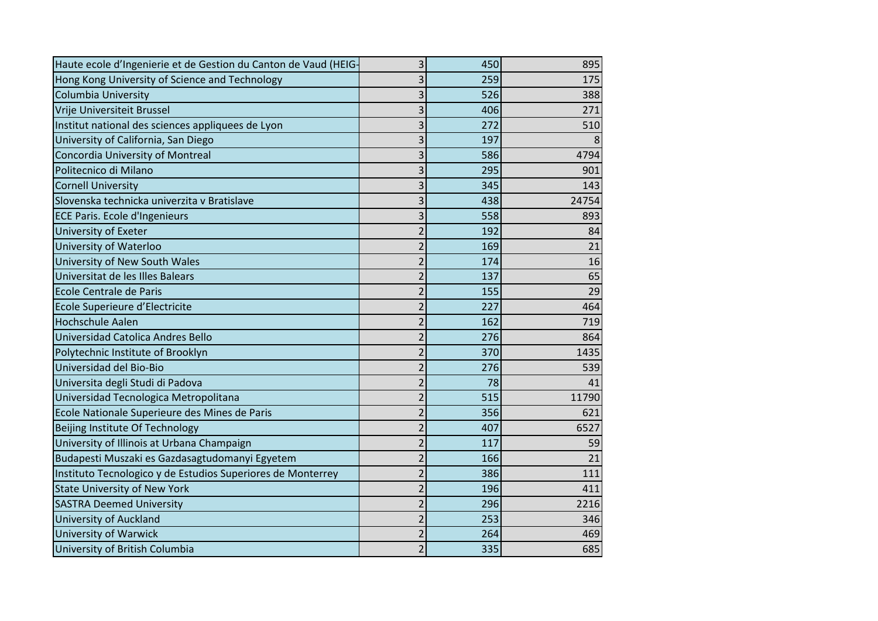| Haute ecole d'Ingenierie et de Gestion du Canton de Vaud (HEIG- | $\overline{\mathbf{3}}$ | 450 | 895   |
|-----------------------------------------------------------------|-------------------------|-----|-------|
| Hong Kong University of Science and Technology                  | 3                       | 259 | 175   |
| <b>Columbia University</b>                                      | 3                       | 526 | 388   |
| Vrije Universiteit Brussel                                      | 3                       | 406 | 271   |
| Institut national des sciences appliquees de Lyon               | 3                       | 272 | 510   |
| University of California, San Diego                             | 3                       | 197 |       |
| Concordia University of Montreal                                | 3                       | 586 | 4794  |
| Politecnico di Milano                                           | 3                       | 295 | 901   |
| <b>Cornell University</b>                                       | 3                       | 345 | 143   |
| Slovenska technicka univerzita v Bratislave                     | 3                       | 438 | 24754 |
| <b>ECE Paris. Ecole d'Ingenieurs</b>                            | 3                       | 558 | 893   |
| University of Exeter                                            | $\overline{2}$          | 192 | 84    |
| University of Waterloo                                          | $\overline{2}$          | 169 | 21    |
| University of New South Wales                                   | $\overline{2}$          | 174 | 16    |
| Universitat de les Illes Balears                                | $\overline{2}$          | 137 | 65    |
| Ecole Centrale de Paris                                         | $\overline{2}$          | 155 | 29    |
| Ecole Superieure d'Electricite                                  | $\overline{2}$          | 227 | 464   |
| <b>Hochschule Aalen</b>                                         | $\overline{2}$          | 162 | 719   |
| Universidad Catolica Andres Bello                               | $\overline{2}$          | 276 | 864   |
| Polytechnic Institute of Brooklyn                               | $\overline{2}$          | 370 | 1435  |
| Universidad del Bio-Bio                                         | $\overline{2}$          | 276 | 539   |
| Universita degli Studi di Padova                                | $\overline{2}$          | 78  | 41    |
| Universidad Tecnologica Metropolitana                           | $\overline{2}$          | 515 | 11790 |
| Ecole Nationale Superieure des Mines de Paris                   | $\overline{2}$          | 356 | 621   |
| Beijing Institute Of Technology                                 | $\overline{2}$          | 407 | 6527  |
| University of Illinois at Urbana Champaign                      | $\overline{2}$          | 117 | 59    |
| Budapesti Muszaki es Gazdasagtudomanyi Egyetem                  | $\overline{2}$          | 166 | 21    |
| Instituto Tecnologico y de Estudios Superiores de Monterrey     | $\overline{2}$          | 386 | 111   |
| <b>State University of New York</b>                             | $\overline{2}$          | 196 | 411   |
| <b>SASTRA Deemed University</b>                                 | $\overline{2}$          | 296 | 2216  |
| <b>University of Auckland</b>                                   | $\overline{2}$          | 253 | 346   |
| <b>University of Warwick</b>                                    | $\overline{2}$          | 264 | 469   |
| University of British Columbia                                  | $\overline{2}$          | 335 | 685   |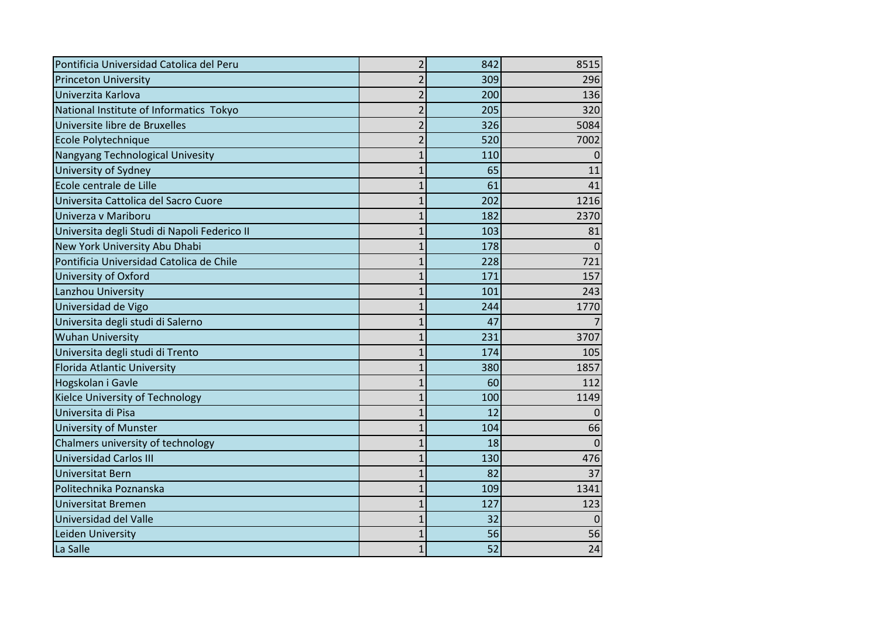| Pontificia Universidad Catolica del Peru     | $\overline{2}$ | 842 | 8515     |
|----------------------------------------------|----------------|-----|----------|
| <b>Princeton University</b>                  | $\overline{2}$ | 309 | 296      |
| Univerzita Karlova                           | 2              | 200 | 136      |
| National Institute of Informatics Tokyo      | $\overline{2}$ | 205 | 320      |
| Universite libre de Bruxelles                | $\overline{2}$ | 326 | 5084     |
| Ecole Polytechnique                          | $\overline{2}$ | 520 | 7002     |
| Nangyang Technological Univesity             | 1              | 110 | $\Omega$ |
| University of Sydney                         | 1              | 65  | 11       |
| Ecole centrale de Lille                      | 1              | 61  | 41       |
| Universita Cattolica del Sacro Cuore         |                | 202 | 1216     |
| Univerza v Mariboru                          |                | 182 | 2370     |
| Universita degli Studi di Napoli Federico II | 1              | 103 | 81       |
| New York University Abu Dhabi                |                | 178 |          |
| Pontificia Universidad Catolica de Chile     | 1              | 228 | 721      |
| University of Oxford                         |                | 171 | 157      |
| Lanzhou University                           | 1              | 101 | 243      |
| Universidad de Vigo                          | 1              | 244 | 1770     |
| Universita degli studi di Salerno            | $\overline{1}$ | 47  |          |
| <b>Wuhan University</b>                      |                | 231 | 3707     |
| Universita degli studi di Trento             | 1              | 174 | 105      |
| Florida Atlantic University                  | 1              | 380 | 1857     |
| Hogskolan i Gavle                            | 1              | 60  | 112      |
| Kielce University of Technology              | 1              | 100 | 1149     |
| Universita di Pisa                           | 1              | 12  |          |
| <b>University of Munster</b>                 | 1              | 104 | 66       |
| Chalmers university of technology            | 1              | 18  | $\Omega$ |
| <b>Universidad Carlos III</b>                |                | 130 | 476      |
| <b>Universitat Bern</b>                      | 1              | 82  | 37       |
| Politechnika Poznanska                       | 1              | 109 | 1341     |
| <b>Universitat Bremen</b>                    | 1              | 127 | 123      |
| Universidad del Valle                        | 1              | 32  | 0        |
| Leiden University                            | 1              | 56  | 56       |
| La Salle                                     | 1              | 52  | 24       |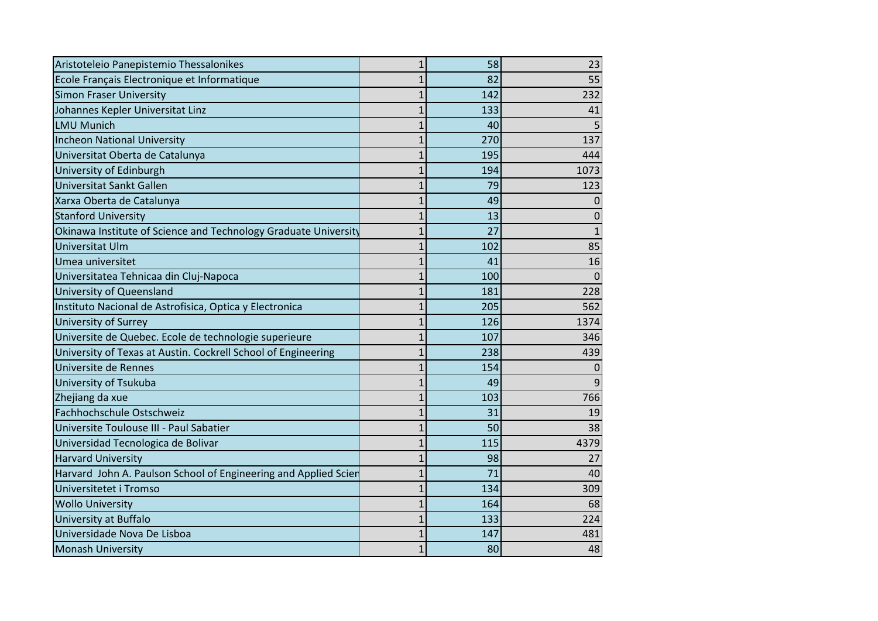| Aristoteleio Panepistemio Thessalonikes                         | $\overline{1}$ | 58  | 23       |
|-----------------------------------------------------------------|----------------|-----|----------|
| Ecole Français Electronique et Informatique                     | $\mathbf{1}$   | 82  | 55       |
| <b>Simon Fraser University</b>                                  | $\overline{1}$ | 142 | 232      |
| Johannes Kepler Universitat Linz                                | $\overline{1}$ | 133 | 41       |
| <b>LMU Munich</b>                                               | 1              | 40  |          |
| Incheon National University                                     | $\overline{1}$ | 270 | 137      |
| Universitat Oberta de Catalunya                                 | $\overline{1}$ | 195 | 444      |
| University of Edinburgh                                         | $\mathbf 1$    | 194 | 1073     |
| Universitat Sankt Gallen                                        | $\overline{1}$ | 79  | 123      |
| Xarxa Oberta de Catalunya                                       | $\overline{1}$ | 49  | 0        |
| <b>Stanford University</b>                                      | 1              | 13  | 0        |
| Okinawa Institute of Science and Technology Graduate University | 1              | 27  |          |
| Universitat Ulm                                                 | $\overline{1}$ | 102 | 85       |
| Umea universitet                                                | 1              | 41  | 16       |
| Universitatea Tehnicaa din Cluj-Napoca                          | $\mathbf 1$    | 100 | $\Omega$ |
| University of Queensland                                        | $\overline{1}$ | 181 | 228      |
| Instituto Nacional de Astrofisica, Optica y Electronica         | $\overline{1}$ | 205 | 562      |
| University of Surrey                                            | $\mathbf{1}$   | 126 | 1374     |
| Universite de Quebec. Ecole de technologie superieure           | $\overline{1}$ | 107 | 346      |
| University of Texas at Austin. Cockrell School of Engineering   | $\overline{1}$ | 238 | 439      |
| Universite de Rennes                                            | $\overline{1}$ | 154 | 0        |
| University of Tsukuba                                           | $\overline{1}$ | 49  | 9        |
| Zhejiang da xue                                                 | $\overline{1}$ | 103 | 766      |
| Fachhochschule Ostschweiz                                       | $\overline{1}$ | 31  | 19       |
| Universite Toulouse III - Paul Sabatier                         | $\overline{1}$ | 50  | 38       |
| Universidad Tecnologica de Bolivar                              | $\overline{1}$ | 115 | 4379     |
| <b>Harvard University</b>                                       | $\overline{1}$ | 98  | 27       |
| Harvard John A. Paulson School of Engineering and Applied Scier | 1              | 71  | 40       |
| Universitetet i Tromso                                          | $\overline{1}$ | 134 | 309      |
| <b>Wollo University</b>                                         | $\overline{1}$ | 164 | 68       |
| University at Buffalo                                           | $\mathbf 1$    | 133 | 224      |
| Universidade Nova De Lisboa                                     | 1              | 147 | 481      |
| <b>Monash University</b>                                        | $\overline{1}$ | 80  | 48       |